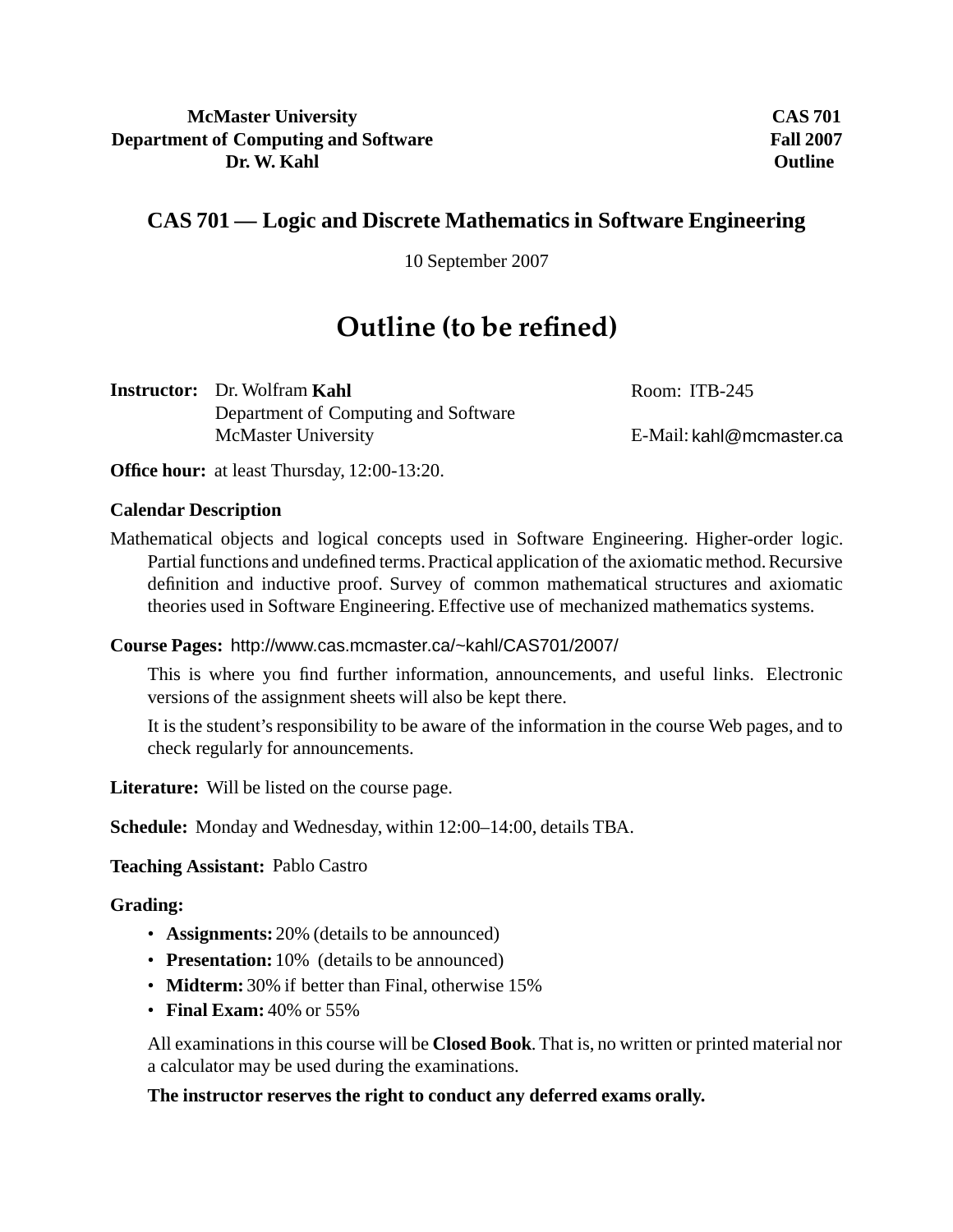### **McMaster University Department of Computing and Software Dr. W. Kahl**

**CAS 701 Fall 2007 Outline**

## **CAS 701 — Logic and Discrete Mathematics in Software Engineering**

10 September 2007

# **Outline (to be refined)**

**Instructor:** Dr. Wolfram **Kahl** Department of Computing and Software McMaster University

Room: ITB-245

E-Mail: kahl@mcmaster.ca

**Office hour:** at least Thursday, 12:00-13:20.

#### **Calendar Description**

Mathematical objects and logical concepts used in Software Engineering. Higher-order logic. Partial functions and undefined terms.Practical application of the axiomatic method. Recursive definition and inductive proof. Survey of common mathematical structures and axiomatic theories used in Software Engineering. Effective use of mechanized mathematics systems.

**Course Pages:** http://www.cas.mcmaster.ca/~kahl/CAS701/2007/

This is where you find further information, announcements, and useful links. Electronic versions of the assignment sheets will also be kept there.

It is the student's responsibility to be aware of the information in the course Web pages, and to check regularly for announcements.

**Literature:** Will be listed on the course page.

**Schedule:** Monday and Wednesday, within 12:00–14:00, details TBA.

**Teaching Assistant:** Pablo Castro

**Grading:**

- **Assignments:** 20% (details to be announced)
- **Presentation:** 10% (details to be announced)
- **Midterm:** 30% if better than Final, otherwise 15%
- **Final Exam:** 40% or 55%

All examinations in this course will be **Closed Book**. That is, no written or printed material nor a calculator may be used during the examinations.

#### **The instructor reserves the right to conduct any deferred exams orally.**